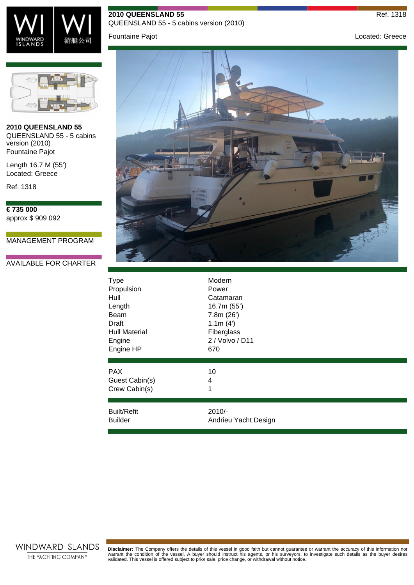

## **2010 QUEENSLAND 55** Ref. 1318

QUEENSLAND 55 - 5 cabins version (2010)

Fountaine Pajot **Contract Contract Contract Contract Contract Contract Contract Contract Contract Contract Contract Contract Contract Contract Contract Contract Contract Contract Contract Contract Contract Contract Contrac** 



**2010 QUEENSLAND 55** QUEENSLAND 55 - 5 cabins version (2010) Fountaine Pajot

Length 16.7 M (55') Located: Greece

Ref. 1318

**€ 735 000** approx \$ 909 092

MANAGEMENT PROGRAM

## AVAILABLE FOR CHARTER



| <b>Type</b>          | Modern               |
|----------------------|----------------------|
| Propulsion           | Power                |
| Hull                 | Catamaran            |
| Length               | 16.7m (55')          |
| Beam                 | 7.8m(26')            |
| Draft                | 1.1m(4)              |
| <b>Hull Material</b> | Fiberglass           |
| Engine               | 2 / Volvo / D11      |
| Engine HP            | 670                  |
| <b>PAX</b>           | 10                   |
| Guest Cabin(s)       | 4                    |
| Crew Cabin(s)        | 1                    |
| <b>Built/Refit</b>   | $2010/-$             |
| <b>Builder</b>       | Andrieu Yacht Design |



Disclaimer: The Company offers the details of this vessel in good faith but cannot guarantee or warrant the accuracy of this information nor<br>warrant the condition of the vessel. A buyer should instruct his agents, or his s